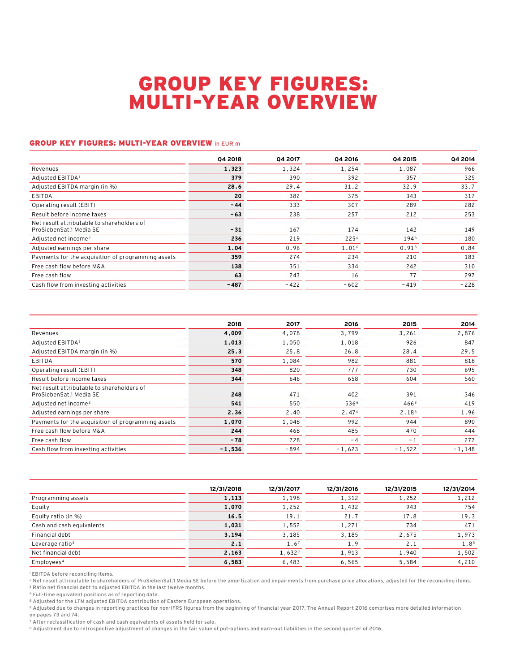# GROUP KEY FIGURES: MULTI-YEAR OVERVIEW

### **GROUP KEY FIGURES: MULTI-YEAR OVERVIEW in EUR mi**

|                                                                       | Q4 2018 | <b>Q4 2017</b> | Q4 2016 | Q4 2015           | <b>Q4 2014</b> |
|-----------------------------------------------------------------------|---------|----------------|---------|-------------------|----------------|
| Revenues                                                              | 1,323   | 1.324          | 1,254   | 1,087             | 966            |
| Adjusted EBITDA1                                                      | 379     | 390            | 392     | 357               | 325            |
| Adjusted EBITDA margin (in %)                                         | 28.6    | 29.4           | 31.2    | 32.9              | 33.7           |
| EBITDA                                                                | 20      | 382            | 375     | 343               | 317            |
| Operating result (EBIT)                                               | $-44$   | 333            | 307     | 289               | 282            |
| Result before income taxes                                            | $-63$   | 238            | 257     | 212               | 253            |
| Net result attributable to shareholders of<br>ProSiebenSat.1 Media SE | $-31$   | 167            | 174     | 142               | 149            |
| Adjusted net income <sup>2</sup>                                      | 236     | 219            | 2256    | 1948              | 180            |
| Adjusted earnings per share                                           | 1.04    | 0.96           | 1.016   | 0.91 <sup>8</sup> | 0.84           |
| Payments for the acquisition of programming assets                    | 359     | 274            | 234     | 210               | 183            |
| Free cash flow before M&A                                             | 138     | 351            | 334     | 242               | 310            |
| Free cash flow                                                        | 63      | 243            | 16      | 77                | 297            |
| Cash flow from investing activities                                   | $-487$  | $-422$         | $-602$  | $-419$            | $-228$         |

|                                                                       | 2018     | 2017   | 2016     | 2015             | 2014     |
|-----------------------------------------------------------------------|----------|--------|----------|------------------|----------|
| Revenues                                                              | 4,009    | 4,078  | 3,799    | 3,261            | 2,876    |
| Adjusted EBITDA1                                                      | 1,013    | 1,050  | 1,018    | 926              | 847      |
| Adjusted EBITDA margin (in %)                                         | 25.3     | 25.8   | 26.8     | 28.4             | 29.5     |
| <b>EBITDA</b>                                                         | 570      | 1,084  | 982      | 881              | 818      |
| Operating result (EBIT)                                               | 348      | 820    | 777      | 730              | 695      |
| Result before income taxes                                            | 344      | 646    | 658      | 604              | 560      |
| Net result attributable to shareholders of<br>ProSiebenSat.1 Media SE | 248      | 471    | 402      | 391              | 346      |
| Adjusted net income <sup>2</sup>                                      | 541      | 550    | 5366     | 466 <sup>8</sup> | 419      |
| Adjusted earnings per share                                           | 2.36     | 2.40   | 2.476    | 2.188            | 1.96     |
| Payments for the acquisition of programming assets                    | 1,070    | 1,048  | 992      | 944              | 890      |
| Free cash flow before M&A                                             | 244      | 468    | 485      | 470              | 444      |
| Free cash flow                                                        | $-78$    | 728    | $-4$     | $-1$             | 277      |
| Cash flow from investing activities                                   | $-1.536$ | $-894$ | $-1.623$ | $-1.522$         | $-1.148$ |

|                             | 12/31/2018 | 12/31/2017          | 12/31/2016 | 12/31/2015 | 12/31/2014 |
|-----------------------------|------------|---------------------|------------|------------|------------|
| Programming assets          | 1,113      | 1,198               | 1,312      | 1,252      | 1,212      |
| Equity                      | 1,070      | 1,252               | 1,432      | 943        | 754        |
| Equity ratio (in %)         | 16.5       | 19.1                | 21.7       | 17.8       | 19.3       |
| Cash and cash equivalents   | 1,031      | 1,552               | 1,271      | 734        | 471        |
| Financial debt              | 3,194      | 3,185               | 3,185      | 2,675      | 1,973      |
| Leverage ratio <sup>3</sup> | 2.1        | $1.6^{\frac{1}{7}}$ | 1.9        | 2.1        | 1.85       |
| Net financial debt          | 2,163      | 1,6327              | 1,913      | 1,940      | 1,502      |
| Employees <sup>4</sup>      | 6,583      | 6,483               | 6.565      | 5,584      | 4,210      |

<sup>1</sup> EBITDA before reconciling items.

2 Net result attributable to shareholders of ProSiebenSat.1 Media SE before the amortization and impairments from purchase price allocations, adjusted for the reconciling items. 3 Ratio net financial debt to adjusted EBITDA in the last twelve months.

4 Full-time equivalent positions as of reporting date.

5 Adjusted for the LTM adjusted EBITDA contribution of Eastern European operations.

6 Adjusted due to changes in reporting practices for non-IFRS figures from the beginning of financial year 2017. The Annual Report 2016 comprises more detailed information on pages 73 and 74.

7 After reclassification of cash and cash equivalents of assets held for sale.

8 Adjustment due to retrospective adjustment of changes in the fair value of put-options and earn-out liabilities in the second quarter of 2016.